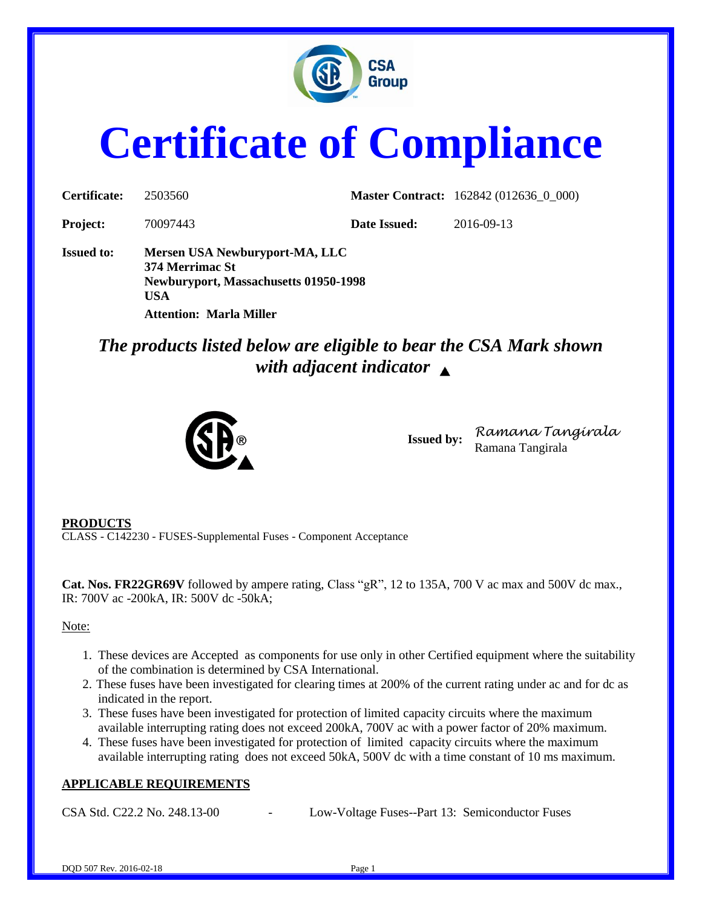

# **Certificate of Compliance**

| Certificate:      | 2503560                                                                                                                                           |              | <b>Master Contract:</b> 162842 (012636_0_000) |
|-------------------|---------------------------------------------------------------------------------------------------------------------------------------------------|--------------|-----------------------------------------------|
| <b>Project:</b>   | 70097443                                                                                                                                          | Date Issued: | 2016-09-13                                    |
| <b>Issued to:</b> | Mersen USA Newburyport-MA, LLC<br>374 Merrimac St<br><b>Newburyport, Massachusetts 01950-1998</b><br><b>USA</b><br><b>Attention: Marla Miller</b> |              |                                               |

# *The products listed below are eligible to bear the CSA Mark shown with adjacent indicator*



**Issued by:** *Ramana Tangirala* Ramana Tangirala

#### **PRODUCTS**

CLASS - C142230 - FUSES-Supplemental Fuses - Component Acceptance

**Cat. Nos. FR22GR69V** followed by ampere rating, Class "gR", 12 to 135A, 700 V ac max and 500V dc max., IR: 700V ac -200kA, IR: 500V dc -50kA;

#### Note:

- 1. These devices are Accepted as components for use only in other Certified equipment where the suitability of the combination is determined by CSA International.
- 2. These fuses have been investigated for clearing times at 200% of the current rating under ac and for dc as indicated in the report.
- 3. These fuses have been investigated for protection of limited capacity circuits where the maximum available interrupting rating does not exceed 200kA, 700V ac with a power factor of 20% maximum.
- 4. These fuses have been investigated for protection of limited capacity circuits where the maximum available interrupting rating does not exceed 50kA, 500V dc with a time constant of 10 ms maximum.

### **APPLICABLE REQUIREMENTS**

CSA Std. C22.2 No. 248.13-00 - Low-Voltage Fuses--Part 13: Semiconductor Fuses